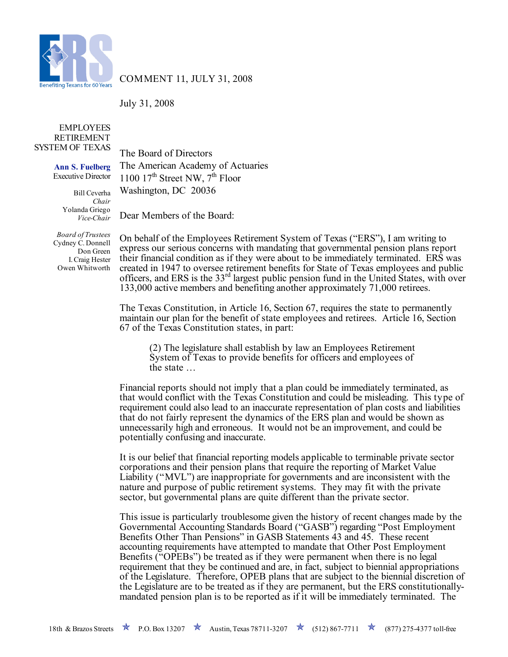

COMMENT 11, JULY 31, 2008

July 31, 2008

## EMPLOYEES RETIREMENT SYSTEM OF TEXAS

**Ann S. Fuelberg** Executive Director

> Bill Ceverha *Chair* Yolanda Griego *Vice-Chair*

*Board of Trustees* Cydney C. Donnell Don Green I. Craig Hester Owen Whitworth

The Board of Directors The American Academy of Actuaries 1100  $17<sup>th</sup>$  Street NW,  $7<sup>th</sup>$  Floor Washington, DC 20036

Dear Members of the Board:

On behalf of the Employees Retirement System of Texas ("ERS"), I am writing to express our serious concerns with mandating that governmental pension plans report their financial condition as if they were about to be immediately terminated. ERS was created in 1947 to oversee retirement benefits for State of Texas employees and public officers, and ERS is the 33rd largest public pension fund in the United States, with over 133,000 active members and benefiting another approximately 71,000 retirees.

The Texas Constitution, in Article 16, Section 67, requires the state to permanently maintain our plan for the benefit of state employees and retirees. Article 16, Section 67 of the Texas Constitution states, in part:

(2) The legislature shall establish by law an Employees Retirement System of Texas to provide benefits for officers and employees of the state …

Financial reports should not imply that a plan could be immediately terminated, as that would conflict with the Texas Constitution and could be misleading. This type of requirement could also lead to an inaccurate representation of plan costs and liabilities that do not fairly represent the dynamics of the ERS plan and would be shown as unnecessarily high and erroneous. It would not be an improvement, and could be potentially confusing and inaccurate.

It is our belief that financial reporting models applicable to terminable private sector corporations and their pension plans that require the reporting of Market Value Liability ("MVL") are inappropriate for governments and are inconsistent with the nature and purpose of public retirement systems. They may fit with the private sector, but governmental plans are quite different than the private sector.

This issue is particularly troublesome given the history of recent changes made by the Governmental Accounting Standards Board ("GASB") regarding "Post Employment Benefits Other Than Pensions" in GASB Statements 43 and 45. These recent accounting requirements have attempted to mandate that Other Post Employment Benefits ("OPEBs") be treated as if they were permanent when there is no legal requirement that they be continued and are, in fact, subject to biennial appropriations of the Legislature. Therefore, OPEB plans that are subject to the biennial discretion of the Legislature are to be treated as if they are permanent, but the ERS constitutionallymandated pension plan is to be reported as if it will be immediately terminated. The